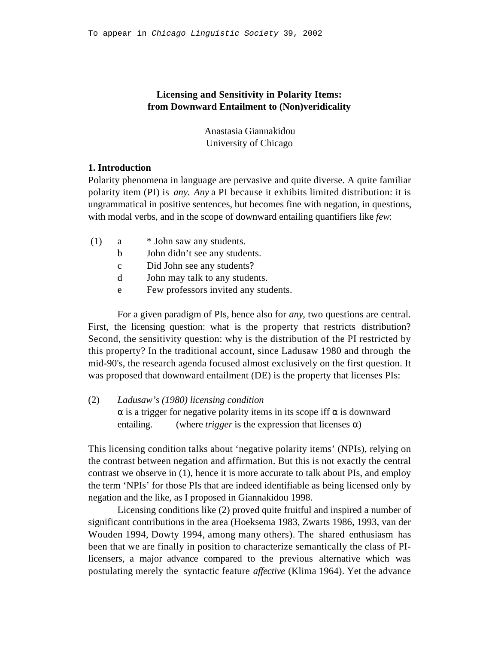## **Licensing and Sensitivity in Polarity Items: from Downward Entailment to (Non)veridicality**

Anastasia Giannakidou University of Chicago

### **1. Introduction**

Polarity phenomena in language are pervasive and quite diverse. A quite familiar polarity item (PI) is *any*. *Any* a PI because it exhibits limited distribution: it is ungrammatical in positive sentences, but becomes fine with negation, in questions, with modal verbs, and in the scope of downward entailing quantifiers like *few*:

(1) a \* John saw any students.

b John didn't see any students.

- c Did John see any students?
- d John may talk to any students.
- e Few professors invited any students.

For a given paradigm of PIs, hence also for *any*, two questions are central. First, the licensing question: what is the property that restricts distribution? Second, the sensitivity question: why is the distribution of the PI restricted by this property? In the traditional account, since Ladusaw 1980 and through the mid-90's, the research agenda focused almost exclusively on the first question. It was proposed that downward entailment (DE) is the property that licenses PIs:

# (2) *Ladusaw's (1980) licensing condition* is a trigger for negative polarity items in its scope iff is downward entailing. (where *trigger* is the expression that licenses)

This licensing condition talks about 'negative polarity items' (NPIs), relying on the contrast between negation and affirmation. But this is not exactly the central contrast we observe in (1), hence it is more accurate to talk about PIs, and employ the term 'NPIs' for those PIs that are indeed identifiable as being licensed only by negation and the like, as I proposed in Giannakidou 1998.

Licensing conditions like (2) proved quite fruitful and inspired a number of significant contributions in the area (Hoeksema 1983, Zwarts 1986, 1993, van der Wouden 1994, Dowty 1994, among many others). The shared enthusiasm has been that we are finally in position to characterize semantically the class of PIlicensers, a major advance compared to the previous alternative which was postulating merely the syntactic feature *affective* (Klima 1964). Yet the advance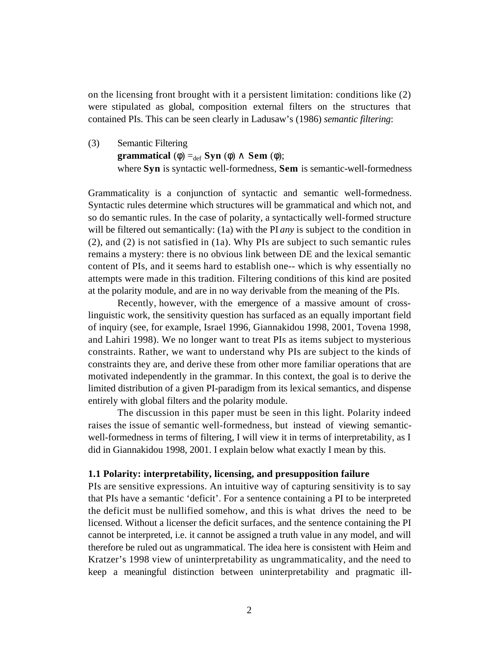on the licensing front brought with it a persistent limitation: conditions like (2) were stipulated as global, composition external filters on the structures that contained PIs. This can be seen clearly in Ladusaw's (1986) *semantic filtering*:

(3) Semantic Filtering **grammatical** (  $) =_{def}$  **Syn** ( ) **Sem** ( ); where **Syn** is syntactic well-formedness, **Sem** is semantic-well-formedness

Grammaticality is a conjunction of syntactic and semantic well-formedness. Syntactic rules determine which structures will be grammatical and which not, and so do semantic rules. In the case of polarity, a syntactically well-formed structure will be filtered out semantically: (1a) with the PI *any* is subject to the condition in (2), and (2) is not satisfied in (1a). Why PIs are subject to such semantic rules remains a mystery: there is no obvious link between DE and the lexical semantic content of PIs, and it seems hard to establish one-- which is why essentially no attempts were made in this tradition. Filtering conditions of this kind are posited at the polarity module, and are in no way derivable from the meaning of the PIs.

Recently, however, with the emergence of a massive amount of crosslinguistic work, the sensitivity question has surfaced as an equally important field of inquiry (see, for example, Israel 1996, Giannakidou 1998, 2001, Tovena 1998, and Lahiri 1998). We no longer want to treat PIs as items subject to mysterious constraints. Rather, we want to understand why PIs are subject to the kinds of constraints they are, and derive these from other more familiar operations that are motivated independently in the grammar. In this context, the goal is to derive the limited distribution of a given PI-paradigm from its lexical semantics, and dispense entirely with global filters and the polarity module.

The discussion in this paper must be seen in this light. Polarity indeed raises the issue of semantic well-formedness, but instead of viewing semanticwell-formedness in terms of filtering, I will view it in terms of interpretability, as I did in Giannakidou 1998, 2001. I explain below what exactly I mean by this.

### **1.1 Polarity: interpretability, licensing, and presupposition failure**

PIs are sensitive expressions. An intuitive way of capturing sensitivity is to say that PIs have a semantic 'deficit'. For a sentence containing a PI to be interpreted the deficit must be nullified somehow, and this is what drives the need to be licensed. Without a licenser the deficit surfaces, and the sentence containing the PI cannot be interpreted, i.e. it cannot be assigned a truth value in any model, and will therefore be ruled out as ungrammatical. The idea here is consistent with Heim and Kratzer's 1998 view of uninterpretability as ungrammaticality, and the need to keep a meaningful distinction between uninterpretability and pragmatic ill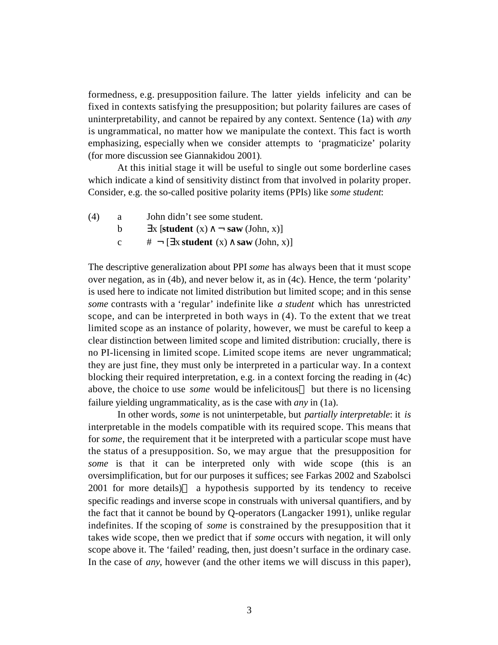formedness, e.g. presupposition failure. The latter yields infelicity and can be fixed in contexts satisfying the presupposition; but polarity failures are cases of uninterpretability, and cannot be repaired by any context. Sentence (1a) with *any* is ungrammatical, no matter how we manipulate the context. This fact is worth emphasizing, especially when we consider attempts to 'pragmaticize' polarity (for more discussion see Giannakidou 2001).

At this initial stage it will be useful to single out some borderline cases which indicate a kind of sensitivity distinct from that involved in polarity proper. Consider, e.g. the so-called positive polarity items (PPIs) like *some student*:

(4) a John didn't see some student. b  $x$  [**student**  $(x)$   $\neg$  **saw** (John, x)] c  $# \neg \left[ x \text{ student } (x) \text{ saw } (\text{John}, x) \right]$ 

The descriptive generalization about PPI *some* has always been that it must scope over negation, as in (4b), and never below it, as in (4c). Hence, the term 'polarity' is used here to indicate not limited distribution but limited scope; and in this sense *some* contrasts with a 'regular' indefinite like *a student* which has unrestricted scope, and can be interpreted in both ways in (4). To the extent that we treat limited scope as an instance of polarity, however, we must be careful to keep a clear distinction between limited scope and limited distribution: crucially, there is no PI-licensing in limited scope. Limited scope items are never ungrammatical; they are just fine, they must only be interpreted in a particular way. In a context blocking their required interpretation, e.g. in a context forcing the reading in (4c) above, the choice to use *some* would be infelicitous but there is no licensing failure yielding ungrammaticality, as is the case with *any* in (1a).

In other words, *some* is not uninterpetable, but *partially interpretable*: it *is* interpretable in the models compatible with its required scope. This means that for *some*, the requirement that it be interpreted with a particular scope must have the status of a presupposition. So, we may argue that the presupposition for *some* is that it can be interpreted only with wide scope (this is an oversimplification, but for our purposes it suffices; see Farkas 2002 and Szabolsci 2001 for more details) a hypothesis supported by its tendency to receive specific readings and inverse scope in construals with universal quantifiers, and by the fact that it cannot be bound by Q-operators (Langacker 1991), unlike regular indefinites. If the scoping of *some* is constrained by the presupposition that it takes wide scope, then we predict that if *some* occurs with negation, it will only scope above it. The 'failed' reading, then, just doesn't surface in the ordinary case. In the case of *any*, however (and the other items we will discuss in this paper),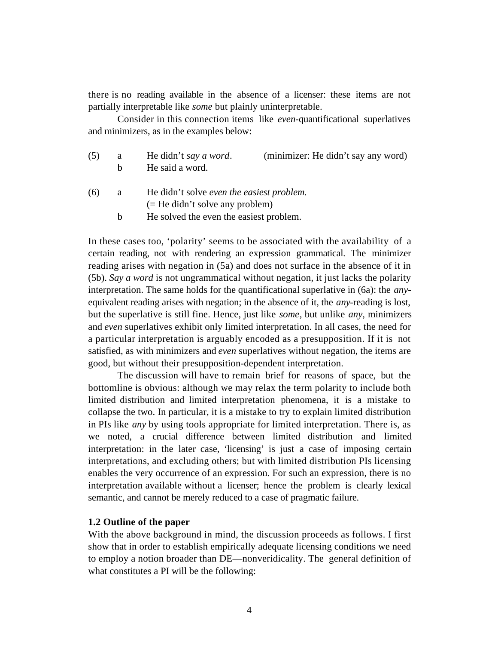there is no reading available in the absence of a licenser: these items are not partially interpretable like *some* but plainly uninterpretable.

Consider in this connection items like *even-*quantificational superlatives and minimizers, as in the examples below:

| (5) | a  | He didn't say a word.                                                          | (minimizer: He didn't say any word) |
|-----|----|--------------------------------------------------------------------------------|-------------------------------------|
|     | h. | He said a word.                                                                |                                     |
| (6) | a  | He didn't solve even the easiest problem.<br>$(=$ He didn't solve any problem) |                                     |

b He solved the even the easiest problem.

In these cases too, 'polarity' seems to be associated with the availability of a certain reading, not with rendering an expression grammatical. The minimizer reading arises with negation in (5a) and does not surface in the absence of it in (5b). *Say a word* is not ungrammatical without negation, it just lacks the polarity interpretation. The same holds for the quantificational superlative in (6a): the *any*equivalent reading arises with negation; in the absence of it, the *any*-reading is lost, but the superlative is still fine. Hence, just like *some*, but unlike *any,* minimizers and *even* superlatives exhibit only limited interpretation. In all cases, the need for a particular interpretation is arguably encoded as a presupposition. If it is not satisfied, as with minimizers and *even* superlatives without negation, the items are good, but without their presupposition-dependent interpretation.

The discussion will have to remain brief for reasons of space, but the bottomline is obvious: although we may relax the term polarity to include both limited distribution and limited interpretation phenomena, it is a mistake to collapse the two. In particular, it is a mistake to try to explain limited distribution in PIs like *any* by using tools appropriate for limited interpretation. There is, as we noted, a crucial difference between limited distribution and limited interpretation: in the later case, 'licensing' is just a case of imposing certain interpretations, and excluding others; but with limited distribution PIs licensing enables the very occurrence of an expression. For such an expression, there is no interpretation available without a licenser; hence the problem is clearly lexical semantic, and cannot be merely reduced to a case of pragmatic failure.

### **1.2 Outline of the paper**

With the above background in mind, the discussion proceeds as follows. I first show that in order to establish empirically adequate licensing conditions we need to employ a notion broader than DE—nonveridicality. The general definition of what constitutes a PI will be the following: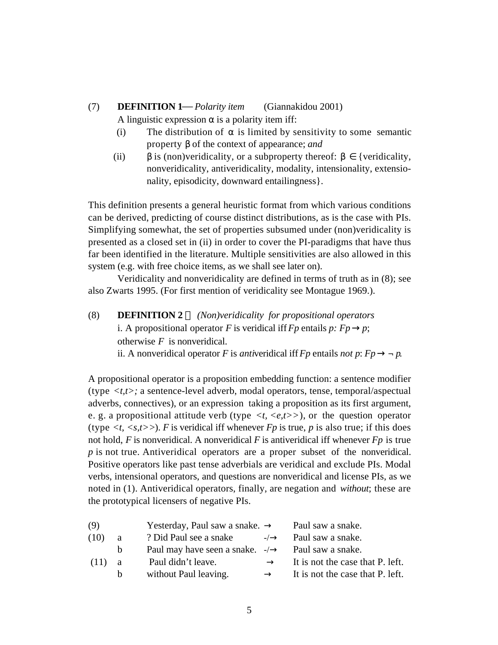# (7) **DEFINITION 1** *Polarity item* (Giannakidou 2001) A linguistic expression is a polarity item iff:

- (i) The distribution of is limited by sensitivity to some semantic property of the context of appearance; *and*
- (ii) is (non)veridicality, or a subproperty thereof: {veridicality, nonveridicality, antiveridicality, modality, intensionality, extensionality, episodicity, downward entailingness}.

This definition presents a general heuristic format from which various conditions can be derived, predicting of course distinct distributions, as is the case with PIs. Simplifying somewhat, the set of properties subsumed under (non)veridicality is presented as a closed set in (ii) in order to cover the PI-paradigms that have thus far been identified in the literature. Multiple sensitivities are also allowed in this system (e.g. with free choice items, as we shall see later on).

Veridicality and nonveridicality are defined in terms of truth as in (8); see also Zwarts 1995. (For first mention of veridicality see Montague 1969.).

(8) **DEFINITION 2** *(Non)veridicality for propositional operators* i. A propositional operator *F* is veridical iff *Fp* entails *p*: *Fp p*; otherwise *F* is nonveridical. ii. A nonveridical operator *F* is *antiveridical* iff *Fp* entails *not p*: *Fp*  $\rightarrow$  *p*.

A propositional operator is a proposition embedding function: a sentence modifier (type *<t,t>;* a sentence-level adverb, modal operators, tense, temporal/aspectual adverbs, connectives), or an expression taking a proposition as its first argument, e. g. a propositional attitude verb (type  $\langle t, \langle e, t \rangle \rangle$ ), or the question operator (type  $\langle t, \langle s, t \rangle \rangle$ ). *F* is veridical iff whenever *Fp* is true, *p* is also true; if this does not hold, *F* is nonveridical. A nonveridical *F* is antiveridical iff whenever *Fp* is true *p* is not true. Antiveridical operators are a proper subset of the nonveridical. Positive operators like past tense adverbials are veridical and exclude PIs. Modal verbs, intensional operators, and questions are nonveridical and license PIs, as we noted in (1). Antiveridical operators, finally, are negation and *without*; these are the prototypical licensers of negative PIs.

| (9)  |     | Yesterday, Paul saw a snake.   | Paul saw a snake.                |
|------|-----|--------------------------------|----------------------------------|
| (10) | a   | ? Did Paul see a snake<br>$-1$ | Paul saw a snake.                |
|      | b.  | Paul may have seen a snake. -/ | Paul saw a snake.                |
| (11) | a a | Paul didn't leave.             | It is not the case that P. left. |
|      | b.  | without Paul leaving.          | It is not the case that P. left. |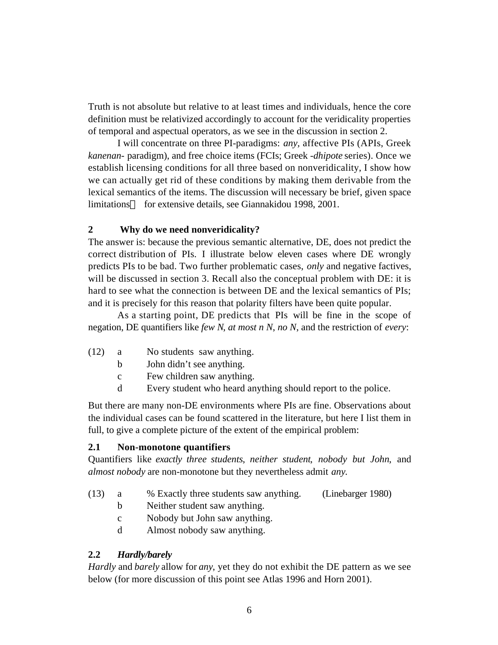Truth is not absolute but relative to at least times and individuals, hence the core definition must be relativized accordingly to account for the veridicality properties of temporal and aspectual operators, as we see in the discussion in section 2.

I will concentrate on three PI-paradigms: *any,* affective PIs (APIs, Greek *kanenan-* paradigm), and free choice items (FCIs; Greek -*dhipote* series). Once we establish licensing conditions for all three based on nonveridicality, I show how we can actually get rid of these conditions by making them derivable from the lexical semantics of the items. The discussion will necessary be brief, given space limitations for extensive details, see Giannakidou 1998, 2001.

# **2 Why do we need nonveridicality?**

The answer is: because the previous semantic alternative, DE, does not predict the correct distribution of PIs. I illustrate below eleven cases where DE wrongly predicts PIs to be bad. Two further problematic cases, *only* and negative factives, will be discussed in section 3. Recall also the conceptual problem with DE: it is hard to see what the connection is between DE and the lexical semantics of PIs; and it is precisely for this reason that polarity filters have been quite popular.

As a starting point, DE predicts that PIs will be fine in the scope of negation, DE quantifiers like *few N*, *at most n N*, *no N*, and the restriction of *every*:

- (12) a No students saw anything.
	- b John didn't see anything.
	- c Few children saw anything.
	- d Every student who heard anything should report to the police.

But there are many non-DE environments where PIs are fine. Observations about the individual cases can be found scattered in the literature, but here I list them in full, to give a complete picture of the extent of the empirical problem:

### **2.1 Non-monotone quantifiers**

Quantifiers like *exactly three students*, *neither student*, *nobody but John*, and *almost nobody* are non-monotone but they nevertheless admit *any*.

- (13) a % Exactly three students saw anything. (Linebarger 1980)
	- b Neither student saw anything.
	- c Nobody but John saw anything.
	- d Almost nobody saw anything.

# **2.2** *Hardly/barely*

*Hardly* and *barely* allow for *any*, yet they do not exhibit the DE pattern as we see below (for more discussion of this point see Atlas 1996 and Horn 2001).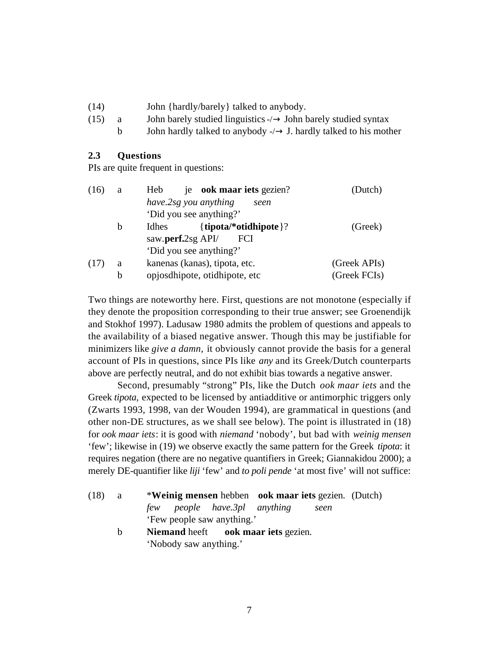- (14) John {hardly/barely} talked to anybody.
- (15) a John barely studied linguistics -/ John barely studied syntax
	- b John hardly talked to anybody -/ J. hardly talked to his mother

### **2.3 Questions**

PIs are quite frequent in questions:

| (16) | a                               | je ook maar iets gezien?<br>Heb       | (Dutch)      |
|------|---------------------------------|---------------------------------------|--------------|
|      |                                 | have.2sg you anything<br>seen         |              |
|      |                                 | 'Did you see anything?'               |              |
|      | b                               | { $tipota$ * $otidhipote$ }?<br>Idhes | (Greek)      |
|      | saw.perf.2sg API/<br><b>FCI</b> |                                       |              |
|      |                                 | 'Did you see anything?'               |              |
| (17) | a                               | kanenas (kanas), tipota, etc.         | (Greek APIs) |
|      | b                               | opjosdhipote, otidhipote, etc         | (Greek FCIs) |

Two things are noteworthy here. First, questions are not monotone (especially if they denote the proposition corresponding to their true answer; see Groenendijk and Stokhof 1997). Ladusaw 1980 admits the problem of questions and appeals to the availability of a biased negative answer. Though this may be justifiable for minimizers like *give a damn,* it obviously cannot provide the basis for a general account of PIs in questions, since PIs like *any* and its Greek/Dutch counterparts above are perfectly neutral, and do not exhibit bias towards a negative answer.

Second, presumably "strong" PIs, like the Dutch *ook maar iets* and the Greek *tipota,* expected to be licensed by antiadditive or antimorphic triggers only (Zwarts 1993, 1998, van der Wouden 1994), are grammatical in questions (and other non-DE structures, as we shall see below). The point is illustrated in (18) for *ook maar iets*: it is good with *niemand* 'nobody', but bad with *weinig mensen* 'few'; likewise in (19) we observe exactly the same pattern for the Greek *tipota*: it requires negation (there are no negative quantifiers in Greek; Giannakidou 2000); a merely DE-quantifier like *liji* 'few' and *to poli pende* 'at most five' will not suffice:

- (18) a \***Weinig mensen** hebben **ook maar iets** gezien. (Dutch) *few people have.3pl anything seen* 'Few people saw anything.'
	- b **Niemand** heeft **ook maar iets** gezien. 'Nobody saw anything.'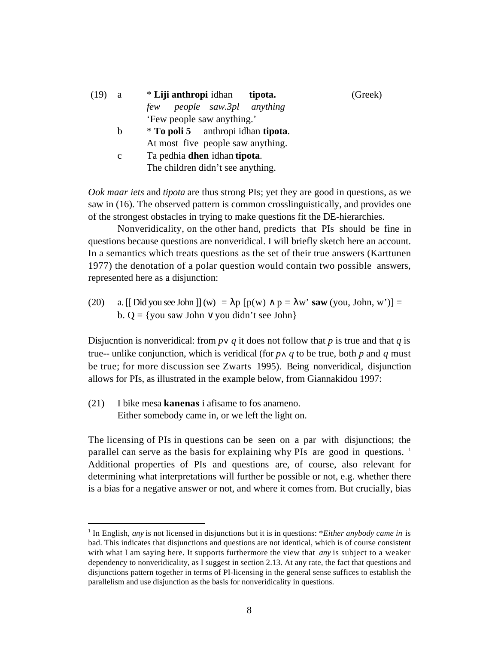| (19) | a            | * Liji anthropi idhan<br>tipota.            | (Greek) |
|------|--------------|---------------------------------------------|---------|
|      |              | people saw.3pl anything<br>few              |         |
|      |              | 'Few people saw anything.'                  |         |
|      | b            | * To poli 5 anthropi idhan tipota.          |         |
|      |              | At most five people saw anything.           |         |
|      | $\mathbf{c}$ | Ta pedhia <b>dhen</b> idhan <b>tipota</b> . |         |
|      |              | The children didn't see anything.           |         |

*Ook maar iets* and *tipota* are thus strong PIs; yet they are good in questions, as we saw in (16). The observed pattern is common crosslinguistically, and provides one of the strongest obstacles in trying to make questions fit the DE-hierarchies.

Nonveridicality, on the other hand, predicts that PIs should be fine in questions because questions are nonveridical. I will briefly sketch here an account. In a semantics which treats questions as the set of their true answers (Karttunen 1977) the denotation of a polar question would contain two possible answers, represented here as a disjunction:

(20) a. [[ Did you see John ]] (w) = p  $[p(w)$  p = w' **saw** (you, John, w')] = b.  $Q = \{you saw John \$  you didn't see John $\}$ 

Disjucntion is nonveridical: from  $p \vee q$  it does not follow that  $p$  is true and that  $q$  is true-- unlike conjunction, which is veridical (for  $p \wedge q$  to be true, both  $p$  and  $q$  must be true; for more discussion see Zwarts 1995). Being nonveridical, disjunction allows for PIs, as illustrated in the example below, from Giannakidou 1997:

(21) I bike mesa **kanenas** i afisame to fos anameno. Either somebody came in, or we left the light on.

l

The licensing of PIs in questions can be seen on a par with disjunctions; the parallel can serve as the basis for explaining why PIs are good in questions.  $1$ Additional properties of PIs and questions are, of course, also relevant for determining what interpretations will further be possible or not, e.g. whether there is a bias for a negative answer or not, and where it comes from. But crucially, bias

<sup>&</sup>lt;sup>1</sup> In English, *any* is not licensed in disjunctions but it is in questions: \**Either anybody came in* is bad. This indicates that disjunctions and questions are not identical, which is of course consistent with what I am saying here. It supports furthermore the view that *any* is subject to a weaker dependency to nonveridicality, as I suggest in section 2.13. At any rate, the fact that questions and disjunctions pattern together in terms of PI-licensing in the general sense suffices to establish the parallelism and use disjunction as the basis for nonveridicality in questions.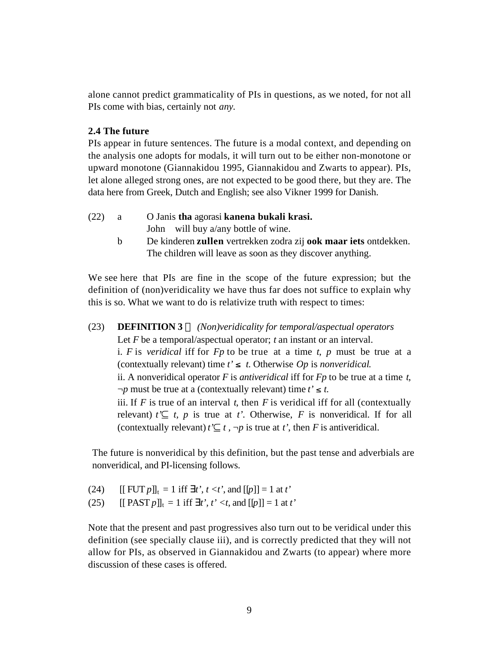alone cannot predict grammaticality of PIs in questions, as we noted, for not all PIs come with bias, certainly not *any*.

## **2.4 The future**

PIs appear in future sentences. The future is a modal context, and depending on the analysis one adopts for modals, it will turn out to be either non-monotone or upward monotone (Giannakidou 1995, Giannakidou and Zwarts to appear). PIs, let alone alleged strong ones, are not expected to be good there, but they are. The data here from Greek, Dutch and English; see also Vikner 1999 for Danish.

- (22) a O Janis **tha** agorasi **kanena bukali krasi.** John will buy a/any bottle of wine.
	- b De kinderen **zullen** vertrekken zodra zij **ook maar iets** ontdekken. The children will leave as soon as they discover anything.

We see here that PIs are fine in the scope of the future expression; but the definition of (non)veridicality we have thus far does not suffice to explain why this is so. What we want to do is relativize truth with respect to times:

# (23) **DEFINITION 3** *(Non)veridicality for temporal/aspectual operators* Let *F* be a temporal/aspectual operator; *t* an instant or an interval. i. *F* is *veridical* iff for *Fp* to be true at a time *t*, *p* must be true at a (contextually relevant) time  $t' \leq t$ . Otherwise *Op* is *nonveridical*. ii. A nonveridical operator *F* is *antiveridical* iff for *Fp* to be true at a time *t*,  $\neg p$  must be true at a (contextually relevant) time  $t' \leq t$ . iii. If  $F$  is true of an interval  $t$ , then  $F$  is veridical iff for all (contextually relevant)  $t' \subseteq t$ , p is true at *t'*. Otherwise, F is nonveridical. If for all (contextually relevant)  $t' \subseteq t$ ,  $\neg p$  is true at *t'*, then *F* is antiveridical.

The future is nonveridical by this definition, but the past tense and adverbials are nonveridical, and PI-licensing follows.

- (24)  $[[$  FUT  $p$  $]]_t = 1$  iff *t'*,  $t < t'$ , and  $[[p]] = 1$  at  $t'$
- (25)  $[[ PAST p]]_t = 1$  iff *t'*, *t'* < *t*, and  $[[p]] = 1$  at *t'*

Note that the present and past progressives also turn out to be veridical under this definition (see specially clause iii), and is correctly predicted that they will not allow for PIs, as observed in Giannakidou and Zwarts (to appear) where more discussion of these cases is offered.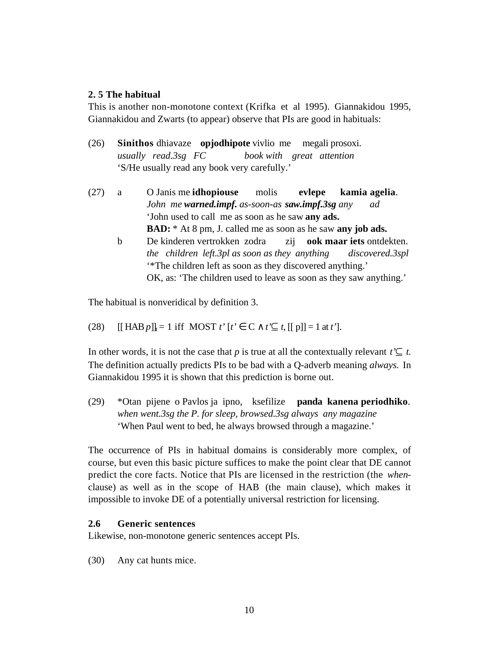### **2. 5 The habitual**

This is another non-monotone context (Krifka et al 1995). Giannakidou 1995, Giannakidou and Zwarts (to appear) observe that PIs are good in habituals:

- (26) **Sinithos** dhiavaze **opjodhipote** vivlio me megali prosoxi. *usually read.3sg FC book with great attention* 'S/He usually read any book very carefully.'
- (27) a O Janis me **idhopiouse** molis **evlepe kamia agelia**. *John me warned.impf. as-soon-as saw.impf.3sg any ad* 'John used to call me as soon as he saw **any ads. BAD:** \* At 8 pm, J. called me as soon as he saw **any job ads.**
	- b De kinderen vertrokken zodra zij **ook maar iets** ontdekten. *the children left.3pl as soon as they anything discovered.3spl* '\*The children left as soon as they discovered anything.' OK, as: 'The children used to leave as soon as they saw anything.'

The habitual is nonveridical by definition 3.

(28)  $[[HAB p]]_t = 1$  iff MOST  $t' [t' \ C \ t' \subseteq t, [[p]] = 1$  at  $t'$ ].

In other words, it is not the case that *p* is true at all the contextually relevant  $t' \subseteq t$ . The definition actually predicts PIs to be bad with a Q-adverb meaning *always.* In Giannakidou 1995 it is shown that this prediction is borne out.

(29) \*Otan pijene o Pavlos ja ipno, ksefilize **panda kanena periodhiko**. *when went.3sg the P. for sleep, browsed.3sg always any magazine* 'When Paul went to bed, he always browsed through a magazine.'

The occurrence of PIs in habitual domains is considerably more complex, of course, but even this basic picture suffices to make the point clear that DE cannot predict the core facts. Notice that PIs are licensed in the restriction (the *when*clause) as well as in the scope of HAB (the main clause), which makes it impossible to invoke DE of a potentially universal restriction for licensing.

# **2.6 Generic sentences**

Likewise, non-monotone generic sentences accept PIs.

(30) Any cat hunts mice.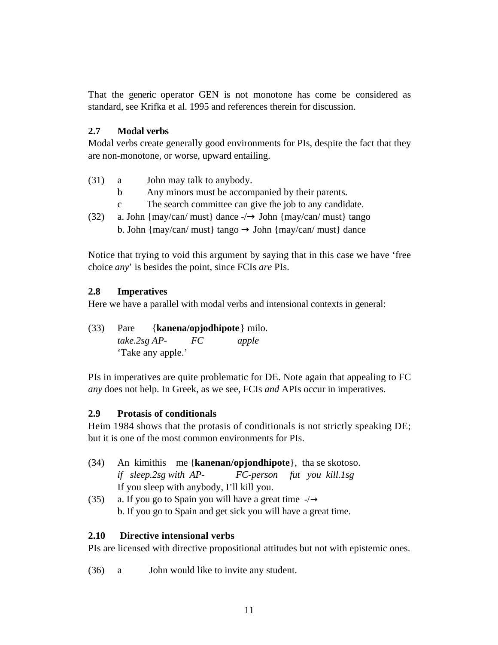That the generic operator GEN is not monotone has come be considered as standard, see Krifka et al. 1995 and references therein for discussion.

# **2.7 Modal verbs**

Modal verbs create generally good environments for PIs, despite the fact that they are non-monotone, or worse, upward entailing.

- (31) a John may talk to anybody.
	- b Any minors must be accompanied by their parents.
	- c The search committee can give the job to any candidate.
- (32) a. John {may/can/ must} dance -/ John {may/can/ must} tango b. John {may/can/ must} tango John {may/can/ must} dance

Notice that trying to void this argument by saying that in this case we have 'free choice *any*' is besides the point, since FCIs *are* PIs.

# **2.8 Imperatives**

Here we have a parallel with modal verbs and intensional contexts in general:

(33) Pare {**kanena/opjodhipote**} milo. *take.2sg AP- FC apple* 'Take any apple.'

PIs in imperatives are quite problematic for DE. Note again that appealing to FC *any* does not help. In Greek, as we see, FCIs *and* APIs occur in imperatives.

# **2.9 Protasis of conditionals**

Heim 1984 shows that the protasis of conditionals is not strictly speaking DE; but it is one of the most common environments for PIs.

- (34) An kimithis me {**kanenan/opjondhipote**}, tha se skotoso. *if sleep.2sg with AP- FC-person fut you kill.1sg* If you sleep with anybody, I'll kill you.
- (35) a. If you go to Spain you will have a great time -/ b. If you go to Spain and get sick you will have a great time.

# **2.10 Directive intensional verbs**

PIs are licensed with directive propositional attitudes but not with epistemic ones.

(36) a John would like to invite any student.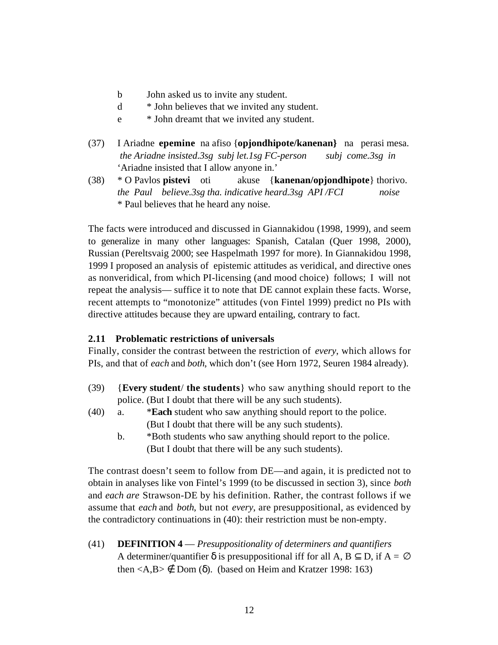- b John asked us to invite any student.
- d \* John believes that we invited any student.
- e \* John dreamt that we invited any student.
- (37) I Ariadne **epemine** na afiso {**opjondhipote/kanenan}** na perasi mesa.  *the Ariadne insisted.3sg subj let.1sg FC-person subj come.3sg in* 'Ariadne insisted that I allow anyone in.'
- (38) \* O Pavlos **pistevi** oti akuse {**kanenan/opjondhipote**} thorivo. *the Paul believe.3sg tha. indicative heard.3sg API /FCI noise* \* Paul believes that he heard any noise.

The facts were introduced and discussed in Giannakidou (1998, 1999), and seem to generalize in many other languages: Spanish, Catalan (Quer 1998, 2000), Russian (Pereltsvaig 2000; see Haspelmath 1997 for more). In Giannakidou 1998, 1999 I proposed an analysis of epistemic attitudes as veridical, and directive ones as nonveridical, from which PI-licensing (and mood choice) follows; I will not repeat the analysis— suffice it to note that DE cannot explain these facts. Worse, recent attempts to "monotonize" attitudes (von Fintel 1999) predict no PIs with directive attitudes because they are upward entailing, contrary to fact.

### **2.11 Problematic restrictions of universals**

Finally, consider the contrast between the restriction of *every*, which allows for PIs, and that of *each* and *both*, which don't (see Horn 1972, Seuren 1984 already).

- (39) {**Every student**/ **the students**} who saw anything should report to the police. (But I doubt that there will be any such students).
- (40) a. \***Each** student who saw anything should report to the police. (But I doubt that there will be any such students).
	- b. \*Both students who saw anything should report to the police. (But I doubt that there will be any such students).

The contrast doesn't seem to follow from DE—and again, it is predicted not to obtain in analyses like von Fintel's 1999 (to be discussed in section 3), since *both* and *each are* Strawson-DE by his definition. Rather, the contrast follows if we assume that *each* and *both*, but not *every*, are presuppositional, as evidenced by the contradictory continuations in (40): their restriction must be non-empty.

(41) **DEFINITION 4** — *Presuppositionality of determiners and quantifiers* A determiner/quantifier is presuppositional iff for all  $A$ ,  $B$   $D$ , if  $A =$ then  $\langle A,B \rangle$  Dom ( ). (based on Heim and Kratzer 1998: 163)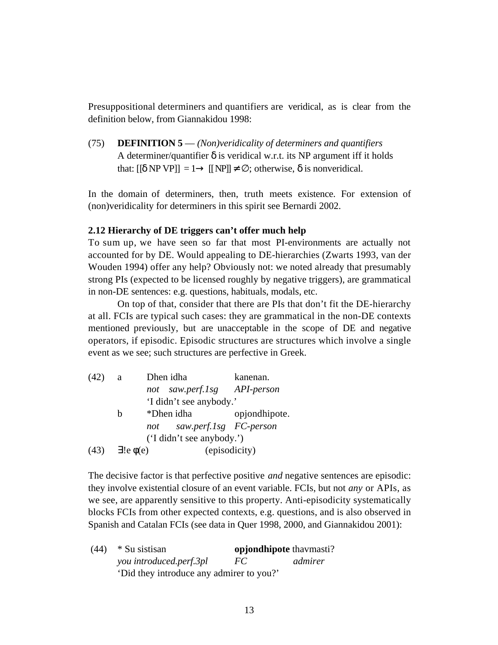Presuppositional determiners and quantifiers are veridical, as is clear from the definition below, from Giannakidou 1998:

(75) **DEFINITION 5** — *(Non)veridicality of determiners and quantifiers* A determiner/quantifier is veridical w.r.t. its NP argument iff it holds that:  $[$  NP VP $] = 1$   $[$  NP $]$  ; otherwise, is nonveridical.

In the domain of determiners, then, truth meets existence. For extension of (non)veridicality for determiners in this spirit see Bernardi 2002.

### **2.12 Hierarchy of DE triggers can't offer much help**

To sum up, we have seen so far that most PI-environments are actually not accounted for by DE. Would appealing to DE-hierarchies (Zwarts 1993, van der Wouden 1994) offer any help? Obviously not: we noted already that presumably strong PIs (expected to be licensed roughly by negative triggers), are grammatical in non-DE sentences: e.g. questions, habituals, modals, etc.

On top of that, consider that there are PIs that don't fit the DE-hierarchy at all. FCIs are typical such cases: they are grammatical in the non-DE contexts mentioned previously, but are unacceptable in the scope of DE and negative operators, if episodic. Episodic structures are structures which involve a single event as we see; such structures are perfective in Greek.

| (42) | - a | Dhen idha                     | kanenan.      |
|------|-----|-------------------------------|---------------|
|      |     | not saw.perf.lsg API-person   |               |
|      |     | 'I didn't see anybody.'       |               |
|      | h   | *Dhen idha                    | opjondhipote. |
|      |     | saw.perf.1sg FC-person<br>not |               |
|      |     | ('I didn't see anybody.')     |               |
| (43) |     | $\left(e\right)(e)$           | (episodicity) |

The decisive factor is that perfective positive *and* negative sentences are episodic: they involve existential closure of an event variable. FCIs, but not *any* or APIs, as we see, are apparently sensitive to this property. Anti-episodicity systematically blocks FCIs from other expected contexts, e.g. questions, and is also observed in Spanish and Catalan FCIs (see data in Quer 1998, 2000, and Giannakidou 2001):

 (44) \* Su sistisan **opjondhipote** thavmasti? *you introduced.perf.3pl FC admirer* 'Did they introduce any admirer to you?'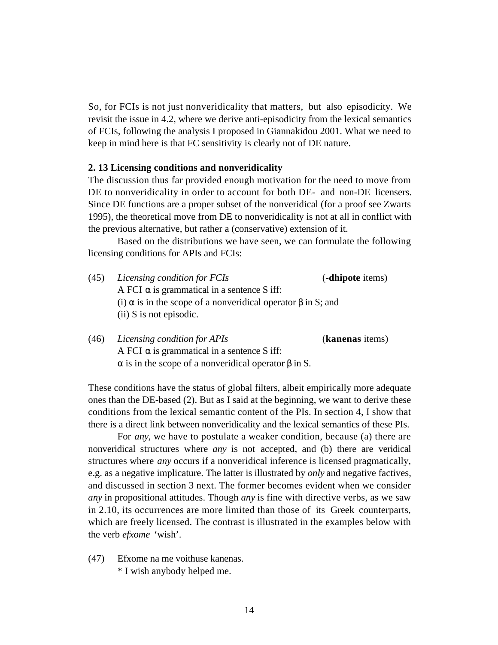So, for FCIs is not just nonveridicality that matters, but also episodicity. We revisit the issue in 4.2, where we derive anti-episodicity from the lexical semantics of FCIs, following the analysis I proposed in Giannakidou 2001. What we need to keep in mind here is that FC sensitivity is clearly not of DE nature.

#### **2. 13 Licensing conditions and nonveridicality**

The discussion thus far provided enough motivation for the need to move from DE to nonveridicality in order to account for both DE- and non-DE licensers. Since DE functions are a proper subset of the nonveridical (for a proof see Zwarts 1995), the theoretical move from DE to nonveridicality is not at all in conflict with the previous alternative, but rather a (conservative) extension of it.

Based on the distributions we have seen, we can formulate the following licensing conditions for APIs and FCIs:

| (45) | Licensing condition for FCIs                             | (-dhipote items) |  |
|------|----------------------------------------------------------|------------------|--|
|      | A FCI is grammatical in a sentence S iff:                |                  |  |
|      | (i) is in the scope of a nonveridical operator in S; and |                  |  |
|      | $(ii)$ S is not episodic.                                |                  |  |
|      |                                                          |                  |  |

(46) *Licensing condition for APIs* (**kanenas** items) A FCI is grammatical in a sentence S iff: is in the scope of a nonveridical operator in S.

These conditions have the status of global filters, albeit empirically more adequate ones than the DE-based (2). But as I said at the beginning, we want to derive these conditions from the lexical semantic content of the PIs. In section 4, I show that there is a direct link between nonveridicality and the lexical semantics of these PIs.

For *any*, we have to postulate a weaker condition, because (a) there are nonveridical structures where *any* is not accepted, and (b) there are veridical structures where *any* occurs if a nonveridical inference is licensed pragmatically, e.g. as a negative implicature. The latter is illustrated by *only* and negative factives, and discussed in section 3 next. The former becomes evident when we consider *any* in propositional attitudes. Though *any* is fine with directive verbs, as we saw in 2.10, its occurrences are more limited than those of its Greek counterparts, which are freely licensed. The contrast is illustrated in the examples below with the verb *efxome* 'wish'.

(47) Efxome na me voithuse kanenas. \* I wish anybody helped me.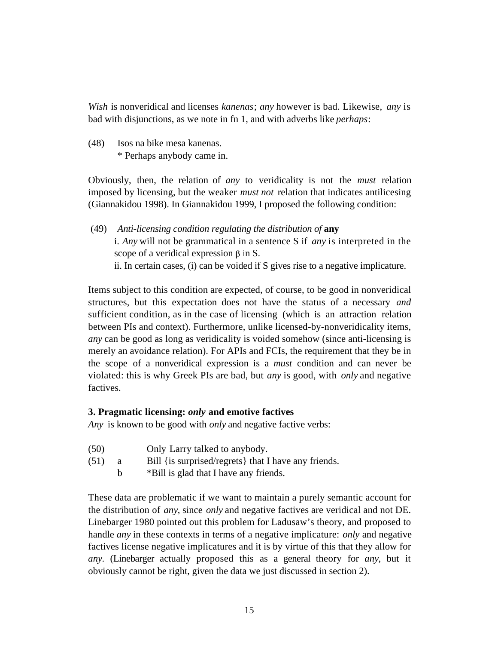*Wish* is nonveridical and licenses *kanenas*; *any* however is bad. Likewise, *any* is bad with disjunctions, as we note in fn 1, and with adverbs like *perhaps*:

(48) Isos na bike mesa kanenas. \* Perhaps anybody came in.

Obviously, then, the relation of *any* to veridicality is not the *must* relation imposed by licensing, but the weaker *must not* relation that indicates antilicesing (Giannakidou 1998). In Giannakidou 1999, I proposed the following condition:

 (49) *Anti-licensing condition regulating the distribution of* **any** i. *Any* will not be grammatical in a sentence S if *any* is interpreted in the scope of a veridical expression  $\beta$  in S. ii. In certain cases, (i) can be voided if S gives rise to a negative implicature.

Items subject to this condition are expected, of course, to be good in nonveridical structures, but this expectation does not have the status of a necessary *and* sufficient condition, as in the case of licensing (which is an attraction relation between PIs and context). Furthermore, unlike licensed-by-nonveridicality items, *any* can be good as long as veridicality is voided somehow (since anti-licensing is merely an avoidance relation). For APIs and FCIs, the requirement that they be in the scope of a nonveridical expression is a *must* condition and can never be violated: this is why Greek PIs are bad, but *any* is good, with *only* and negative factives.

# **3. Pragmatic licensing:** *only* **and emotive factives**

*Any* is known to be good with *only* and negative factive verbs:

- (50) Only Larry talked to anybody.
- (51) a Bill {is surprised/regrets} that I have any friends.
	- b \*Bill is glad that I have any friends.

These data are problematic if we want to maintain a purely semantic account for the distribution of *any*, since *only* and negative factives are veridical and not DE. Linebarger 1980 pointed out this problem for Ladusaw's theory, and proposed to handle *any* in these contexts in terms of a negative implicature: *only* and negative factives license negative implicatures and it is by virtue of this that they allow for *any*. (Linebarger actually proposed this as a general theory for *any*, but it obviously cannot be right, given the data we just discussed in section 2).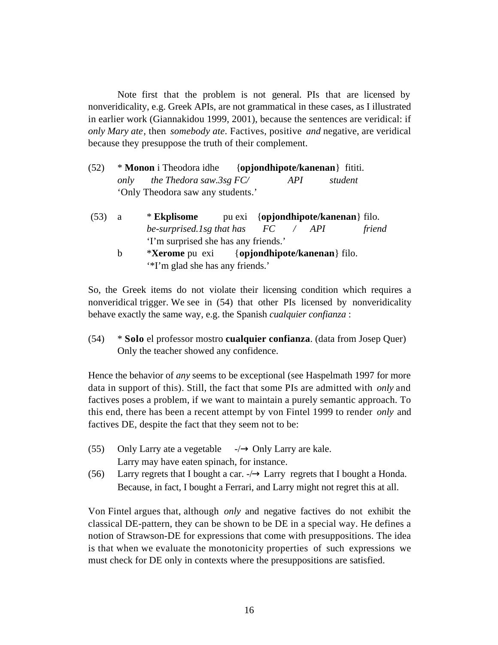Note first that the problem is not general. PIs that are licensed by nonveridicality, e.g. Greek APIs, are not grammatical in these cases, as I illustrated in earlier work (Giannakidou 1999, 2001), because the sentences are veridical: if *only Mary ate*, then *somebody ate*. Factives, positive *and* negative, are veridical because they presuppose the truth of their complement.

- (52) \* **Monon** i Theodora idhe {**opjondhipote/kanenan**} fititi. *only the Thedora saw.3sg FC/ API student* 'Only Theodora saw any students.'
- (53) a \* **Ekplisome** pu exi {**opjondhipote/kanenan**} filo. *be-surprised.1sg that has FC / API friend* 'I'm surprised she has any friends.'
	- b \***Xerome** pu exi {**opjondhipote/kanenan**} filo. '\*I'm glad she has any friends.'

So, the Greek items do not violate their licensing condition which requires a nonveridical trigger. We see in (54) that other PIs licensed by nonveridicality behave exactly the same way, e.g. the Spanish *cualquier confianza* :

(54) \* **Solo** el professor mostro **cualquier confianza**. (data from Josep Quer) Only the teacher showed any confidence.

Hence the behavior of *any* seems to be exceptional (see Haspelmath 1997 for more data in support of this). Still, the fact that some PIs are admitted with *only* and factives poses a problem, if we want to maintain a purely semantic approach. To this end, there has been a recent attempt by von Fintel 1999 to render *only* and factives DE, despite the fact that they seem not to be:

- (55) Only Larry ate a vegetable -/ Only Larry are kale. Larry may have eaten spinach, for instance.
- (56) Larry regrets that I bought a car. -/ Larry regrets that I bought a Honda. Because, in fact, I bought a Ferrari, and Larry might not regret this at all.

Von Fintel argues that, although *only* and negative factives do not exhibit the classical DE-pattern, they can be shown to be DE in a special way. He defines a notion of Strawson-DE for expressions that come with presuppositions. The idea is that when we evaluate the monotonicity properties of such expressions we must check for DE only in contexts where the presuppositions are satisfied.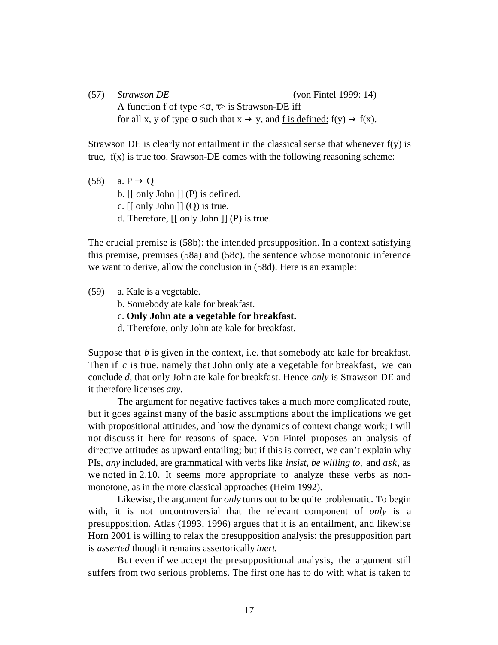(57) *Strawson DE* (von Fintel 1999: 14) A function f of type  $\langle , \rangle$  is Strawson-DE iff for all x, y of type such that x y, and  $f$  is defined:  $f(y)$  f(x).

Strawson DE is clearly not entailment in the classical sense that whenever  $f(y)$  is true, f(x) is true too. Srawson-DE comes with the following reasoning scheme:

(58) a. P Q b. [[ only John ]] (P) is defined. c.  $\lceil \int$  only John  $\lceil \int$   $\lceil \int$   $\lceil \int$   $\lceil \int$   $\lceil \int$   $\lceil \int$   $\lceil \int$   $\lceil \int$   $\lceil \int$   $\lceil \int$   $\lceil \int$   $\lceil \int$   $\lceil \int$   $\lceil \int$   $\lceil \int$   $\lceil \int$   $\lceil \int$   $\lceil \int$   $\lceil \int$   $\lceil \int$   $\lceil \int$   $\lceil \int$   $\lceil \int$   $\lceil \int$   $\lceil \int$  d. Therefore, [[ only John ]] (P) is true.

The crucial premise is (58b): the intended presupposition. In a context satisfying this premise, premises (58a) and (58c), the sentence whose monotonic inference we want to derive, allow the conclusion in (58d). Here is an example:

(59) a. Kale is a vegetable.

b. Somebody ate kale for breakfast.

c. **Only John ate a vegetable for breakfast.**

d. Therefore, only John ate kale for breakfast.

Suppose that *b* is given in the context, i.e. that somebody ate kale for breakfast. Then if *c* is true, namely that John only ate a vegetable for breakfast, we can conclude *d,* that only John ate kale for breakfast. Hence *only* is Strawson DE and it therefore licenses *any*.

The argument for negative factives takes a much more complicated route, but it goes against many of the basic assumptions about the implications we get with propositional attitudes, and how the dynamics of context change work; I will not discuss it here for reasons of space. Von Fintel proposes an analysis of directive attitudes as upward entailing; but if this is correct, we can't explain why PIs, *any* included, are grammatical with verbs like *insist, be willing to,* and *ask*, as we noted in 2.10. It seems more appropriate to analyze these verbs as nonmonotone, as in the more classical approaches (Heim 1992).

Likewise, the argument for *only* turns out to be quite problematic. To begin with, it is not uncontroversial that the relevant component of *only* is a presupposition. Atlas (1993, 1996) argues that it is an entailment, and likewise Horn 2001 is willing to relax the presupposition analysis: the presupposition part is *asserted* though it remains assertorically *inert*.

But even if we accept the presuppositional analysis, the argument still suffers from two serious problems. The first one has to do with what is taken to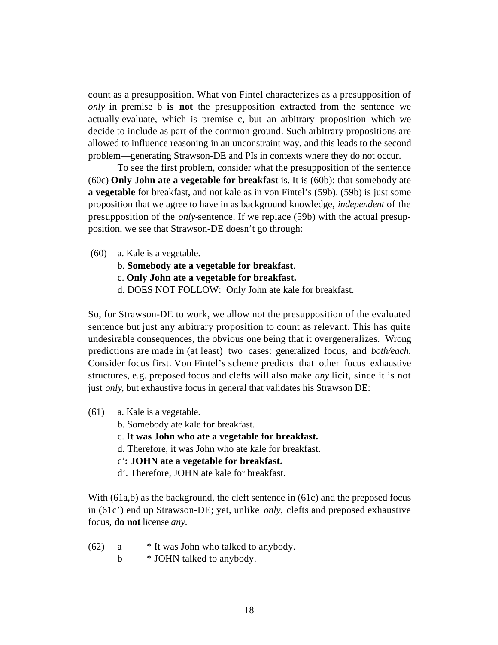count as a presupposition. What von Fintel characterizes as a presupposition of *only* in premise b **is not** the presupposition extracted from the sentence we actually evaluate, which is premise c, but an arbitrary proposition which we decide to include as part of the common ground. Such arbitrary propositions are allowed to influence reasoning in an unconstraint way, and this leads to the second problem—generating Strawson-DE and PIs in contexts where they do not occur.

To see the first problem, consider what the presupposition of the sentence (60c) **Only John ate a vegetable for breakfast** is. It is (60b): that somebody ate **a vegetable** for breakfast, and not kale as in von Fintel's (59b). (59b) is just some proposition that we agree to have in as background knowledge, *independent* of the presupposition of the *only-*sentence. If we replace (59b) with the actual presupposition, we see that Strawson-DE doesn't go through:

- (60) a. Kale is a vegetable.
	- b. **Somebody ate a vegetable for breakfast**.
	- c. **Only John ate a vegetable for breakfast.**
	- d. DOES NOT FOLLOW: Only John ate kale for breakfast.

So, for Strawson-DE to work, we allow not the presupposition of the evaluated sentence but just any arbitrary proposition to count as relevant. This has quite undesirable consequences, the obvious one being that it overgeneralizes. Wrong predictions are made in (at least) two cases: generalized focus, and *both/each*. Consider focus first. Von Fintel's scheme predicts that other focus exhaustive structures, e.g. preposed focus and clefts will also make *any* licit, since it is not just *only*, but exhaustive focus in general that validates his Strawson DE:

- (61) a. Kale is a vegetable.
	- b. Somebody ate kale for breakfast.
	- c. **It was John who ate a vegetable for breakfast.**
	- d. Therefore, it was John who ate kale for breakfast.
	- c'**: JOHN ate a vegetable for breakfast.**
	- d'. Therefore, JOHN ate kale for breakfast.

With (61a,b) as the background, the cleft sentence in (61c) and the preposed focus in (61c') end up Strawson-DE; yet, unlike *only,* clefts and preposed exhaustive focus, **do not** license *any.*

- $(62)$  a \* It was John who talked to anybody.
	- b  $\ast$  JOHN talked to anybody.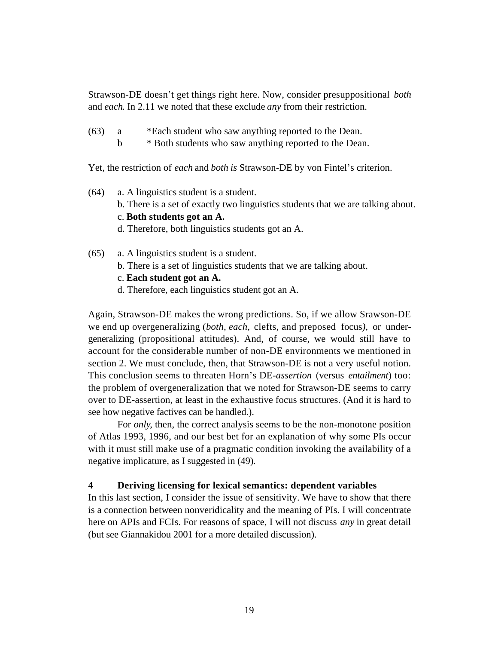Strawson-DE doesn't get things right here. Now, consider presuppositional *both* and *each*. In 2.11 we noted that these exclude *any* from their restriction.

- (63) a \*Each student who saw anything reported to the Dean.
	- b \* Both students who saw anything reported to the Dean.

Yet, the restriction of *each* and *both is* Strawson-DE by von Fintel's criterion.

- (64) a. A linguistics student is a student. b. There is a set of exactly two linguistics students that we are talking about. c. **Both students got an A.**
	- d. Therefore, both linguistics students got an A.
- (65) a. A linguistics student is a student.
	- b. There is a set of linguistics students that we are talking about.
	- c. **Each student got an A.**
	- d. Therefore, each linguistics student got an A.

Again, Strawson-DE makes the wrong predictions. So, if we allow Srawson-DE we end up overgeneralizing (*both, each,* clefts, and preposed focus*),* or undergeneralizing (propositional attitudes). And, of course, we would still have to account for the considerable number of non-DE environments we mentioned in section 2. We must conclude, then, that Strawson-DE is not a very useful notion. This conclusion seems to threaten Horn's DE-*assertion* (versus *entailment*) too: the problem of overgeneralization that we noted for Strawson-DE seems to carry over to DE-assertion, at least in the exhaustive focus structures. (And it is hard to see how negative factives can be handled.).

For *only*, then, the correct analysis seems to be the non-monotone position of Atlas 1993, 1996, and our best bet for an explanation of why some PIs occur with it must still make use of a pragmatic condition invoking the availability of a negative implicature, as I suggested in (49).

### **4 Deriving licensing for lexical semantics: dependent variables**

In this last section, I consider the issue of sensitivity. We have to show that there is a connection between nonveridicality and the meaning of PIs. I will concentrate here on APIs and FCIs. For reasons of space, I will not discuss *any* in great detail (but see Giannakidou 2001 for a more detailed discussion).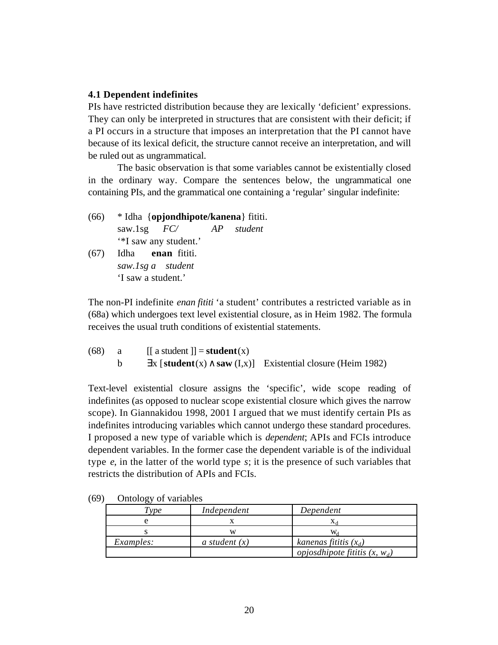### **4.1 Dependent indefinites**

PIs have restricted distribution because they are lexically 'deficient' expressions. They can only be interpreted in structures that are consistent with their deficit; if a PI occurs in a structure that imposes an interpretation that the PI cannot have because of its lexical deficit, the structure cannot receive an interpretation, and will be ruled out as ungrammatical.

The basic observation is that some variables cannot be existentially closed in the ordinary way. Compare the sentences below, the ungrammatical one containing PIs, and the grammatical one containing a 'regular' singular indefinite:

- (66) \* Idha {**opjondhipote/kanena**} fititi. saw.1sg *FC/ AP student* '\*I saw any student.'
- (67) Idha **enan** fititi. *saw.1sg a student* 'I saw a student.'

The non-PI indefinite *enan fititi* 'a student' contributes a restricted variable as in (68a) which undergoes text level existential closure, as in Heim 1982. The formula receives the usual truth conditions of existential statements.

| (68) | $\lfloor \int a \text{ student} \rfloor = \text{student}(x)$ |                                                             |
|------|--------------------------------------------------------------|-------------------------------------------------------------|
|      |                                                              | x [student(x) saw $(I,x)$ ] Existential closure (Heim 1982) |

Text-level existential closure assigns the 'specific', wide scope reading of indefinites (as opposed to nuclear scope existential closure which gives the narrow scope). In Giannakidou 1998, 2001 I argued that we must identify certain PIs as indefinites introducing variables which cannot undergo these standard procedures. I proposed a new type of variable which is *dependent*; APIs and FCIs introduce dependent variables. In the former case the dependent variable is of the individual type *e*, in the latter of the world type *s*; it is the presence of such variables that restricts the distribution of APIs and FCIs.

| $\tau_{\nu \nu e}$ | Independent     | Dependent                              |
|--------------------|-----------------|----------------------------------------|
|                    |                 |                                        |
|                    |                 |                                        |
| Examples:          | a student $(x)$ | kanenas fititis $(x_d)$                |
|                    |                 | <i>opjosdhipote fititis</i> $(x, w_d)$ |

(69) Ontology of variables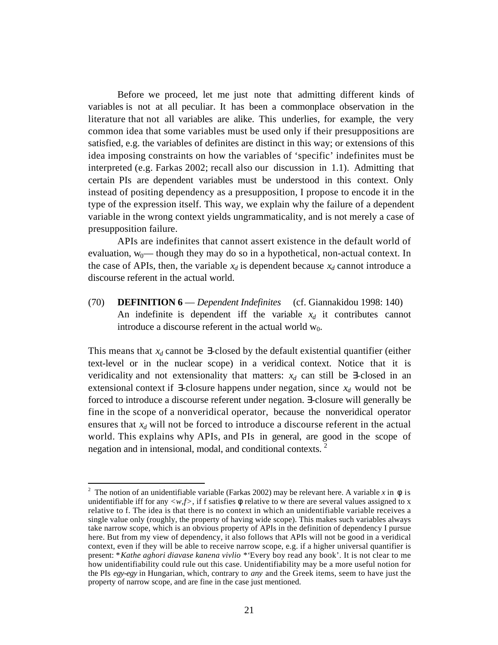Before we proceed, let me just note that admitting different kinds of variables is not at all peculiar. It has been a commonplace observation in the literature that not all variables are alike. This underlies, for example, the very common idea that some variables must be used only if their presuppositions are satisfied, e.g. the variables of definites are distinct in this way; or extensions of this idea imposing constraints on how the variables of 'specific' indefinites must be interpreted (e.g. Farkas 2002; recall also our discussion in 1.1). Admitting that certain PIs are dependent variables must be understood in this context. Only instead of positing dependency as a presupposition, I propose to encode it in the type of the expression itself. This way, we explain why the failure of a dependent variable in the wrong context yields ungrammaticality, and is not merely a case of presupposition failure.

APIs are indefinites that cannot assert existence in the default world of evaluation,  $w_0$ — though they may do so in a hypothetical, non-actual context. In the case of APIs, then, the variable  $x_d$  is dependent because  $x_d$  cannot introduce a discourse referent in the actual world.

(70) **DEFINITION 6** — *Dependent Indefinites* (cf. Giannakidou 1998: 140) An indefinite is dependent iff the variable  $x_d$  it contributes cannot introduce a discourse referent in the actual world  $w_0$ .

This means that  $x_d$  cannot be -closed by the default existential quantifier (either text-level or in the nuclear scope) in a veridical context. Notice that it is veridicality and not extensionality that matters:  $x_d$  can still be -closed in an extensional context if -closure happens under negation, since  $x_d$  would not be forced to introduce a discourse referent under negation. -closure will generally be fine in the scope of a nonveridical operator, because the nonveridical operator ensures that *xd* will not be forced to introduce a discourse referent in the actual world. This explains why APIs, and PIs in general, are good in the scope of negation and in intensional, modal, and conditional contexts.<sup>2</sup>

l

<sup>&</sup>lt;sup>2</sup> The notion of an unidentifiable variable (Farkas 2002) may be relevant here. A variable x in is unidentifiable iff for any  $\langle w, f \rangle$ , if f satisfies relative to w there are several values assigned to x relative to f. The idea is that there is no context in which an unidentifiable variable receives a single value only (roughly, the property of having wide scope). This makes such variables always take narrow scope, which is an obvious property of APIs in the definition of dependency I pursue here. But from my view of dependency, it also follows that APIs will not be good in a veridical context, even if they will be able to receive narrow scope, e.g. if a higher universal quantifier is present: \**Kathe aghori diavase kanena vivlio \*'*Every boy read any book'. It is not clear to me how unidentifiability could rule out this case. Unidentifiability may be a more useful notion for the PIs *egy-egy* in Hungarian, which, contrary to *any* and the Greek items, seem to have just the property of narrow scope, and are fine in the case just mentioned.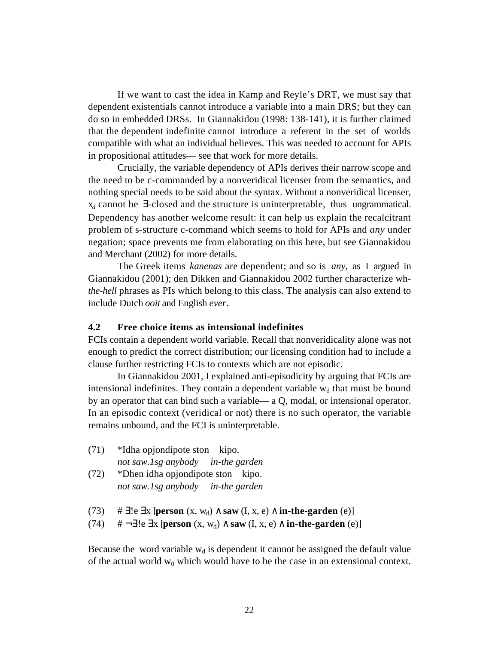If we want to cast the idea in Kamp and Reyle's DRT, we must say that dependent existentials cannot introduce a variable into a main DRS; but they can do so in embedded DRSs. In Giannakidou (1998: 138-141), it is further claimed that the dependent indefinite cannot introduce a referent in the set of worlds compatible with what an individual believes. This was needed to account for APIs in propositional attitudes— see that work for more details.

Crucially, the variable dependency of APIs derives their narrow scope and the need to be c-commanded by a nonveridical licenser from the semantics, and nothing special needs to be said about the syntax. Without a nonveridical licenser,  $x_d$  cannot be -closed and the structure is uninterpretable, thus ungrammatical. Dependency has another welcome result: it can help us explain the recalcitrant problem of s-structure c-command which seems to hold for APIs and *any* under negation; space prevents me from elaborating on this here, but see Giannakidou and Merchant (2002) for more details.

The Greek items *kanenas* are dependent; and so is *any,* as I argued in Giannakidou (2001); den Dikken and Giannakidou 2002 further characterize wh*the-hell* phrases as PIs which belong to this class. The analysis can also extend to include Dutch *ooit* and English *ever*.

### **4.2 Free choice items as intensional indefinites**

FCIs contain a dependent world variable. Recall that nonveridicality alone was not enough to predict the correct distribution; our licensing condition had to include a clause further restricting FCIs to contexts which are not episodic.

In Giannakidou 2001, I explained anti-episodicity by arguing that FCIs are intensional indefinites. They contain a dependent variable  $w_d$  that must be bound by an operator that can bind such a variable— a Q, modal, or intensional operator. In an episodic context (veridical or not) there is no such operator, the variable remains unbound, and the FCI is uninterpretable.

- (71) \*Idha opjondipote ston kipo. *not saw.1sg anybody in-the garden*
- (72) \*Dhen idha opjondipote ston kipo. *not saw.1sg anybody in-the garden*

```
(73) \# le x [person (x, w_d) saw (I, x, e) in-the-garden (e)]
(74) \# \neg \leq \text{!e} \times \text{[person } (x, w_d) \quad \text{saw } (I, x, e) \quad \text{in-the-garden } (e)]
```
Because the word variable  $w_d$  is dependent it cannot be assigned the default value of the actual world  $w_0$  which would have to be the case in an extensional context.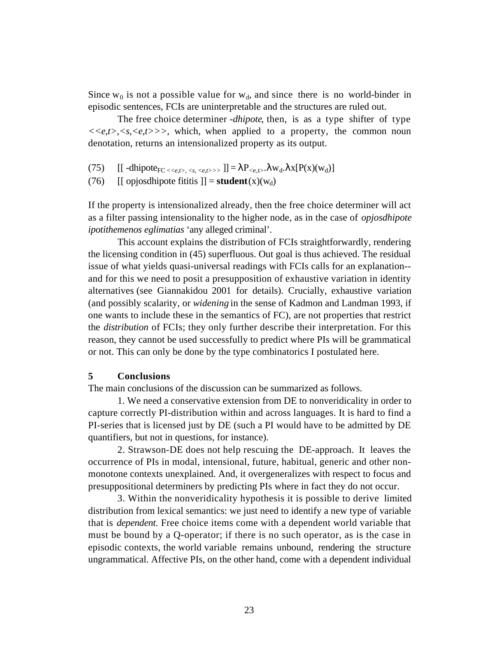Since  $w_0$  is not a possible value for  $w_d$ , and since there is no world-binder in episodic sentences, FCIs are uninterpretable and the structures are ruled out.

The free choice determiner -*dhipote*, then, is as a type shifter of type *<<e,t>,<s,<e,t>>>*, which, when applied to a property, the common noun denotation, returns an intensionalized property as its output.

- (75)  $[[ \text{-dhipote}_{FC \leq \leq e,t>, \leq s, \leq e,t>>}] = P_{\leq e,t>}$ .  $w_d$ .  $x[P(x)(w_d)]$
- (76) [[ opjosdhipote fititis  $] = student(x)(w_d)$

If the property is intensionalized already, then the free choice determiner will act as a filter passing intensionality to the higher node, as in the case of *opjosdhipote ipotithemenos eglimatias* 'any alleged criminal'.

This account explains the distribution of FCIs straightforwardly, rendering the licensing condition in (45) superfluous. Out goal is thus achieved. The residual issue of what yields quasi-universal readings with FCIs calls for an explanation- and for this we need to posit a presupposition of exhaustive variation in identity alternatives (see Giannakidou 2001 for details). Crucially, exhaustive variation (and possibly scalarity, or *widening* in the sense of Kadmon and Landman 1993, if one wants to include these in the semantics of FC), are not properties that restrict the *distribution* of FCIs; they only further describe their interpretation. For this reason, they cannot be used successfully to predict where PIs will be grammatical or not. This can only be done by the type combinatorics I postulated here.

### **5 Conclusions**

The main conclusions of the discussion can be summarized as follows.

1. We need a conservative extension from DE to nonveridicality in order to capture correctly PI-distribution within and across languages. It is hard to find a PI-series that is licensed just by DE (such a PI would have to be admitted by DE quantifiers, but not in questions, for instance).

2. Strawson-DE does not help rescuing the DE-approach. It leaves the occurrence of PIs in modal, intensional, future, habitual, generic and other nonmonotone contexts unexplained. And, it overgeneralizes with respect to focus and presuppositional determiners by predicting PIs where in fact they do not occur.

3. Within the nonveridicality hypothesis it is possible to derive limited distribution from lexical semantics: we just need to identify a new type of variable that is *dependent*. Free choice items come with a dependent world variable that must be bound by a Q-operator; if there is no such operator, as is the case in episodic contexts, the world variable remains unbound, rendering the structure ungrammatical. Affective PIs, on the other hand, come with a dependent individual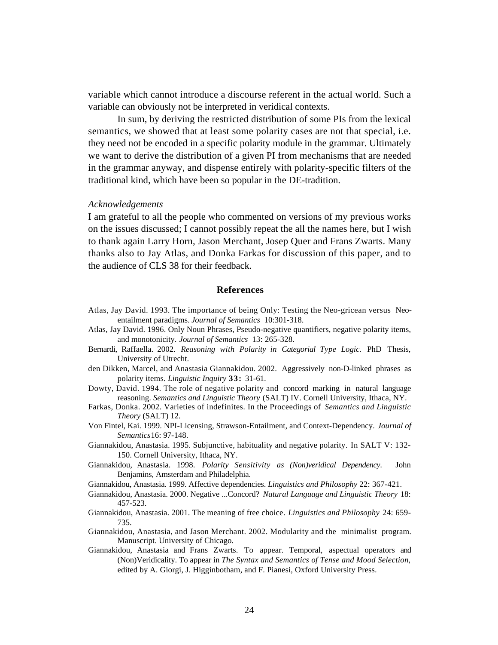variable which cannot introduce a discourse referent in the actual world. Such a variable can obviously not be interpreted in veridical contexts.

In sum, by deriving the restricted distribution of some PIs from the lexical semantics, we showed that at least some polarity cases are not that special, i.e. they need not be encoded in a specific polarity module in the grammar. Ultimately we want to derive the distribution of a given PI from mechanisms that are needed in the grammar anyway, and dispense entirely with polarity-specific filters of the traditional kind, which have been so popular in the DE-tradition.

#### *Acknowledgements*

I am grateful to all the people who commented on versions of my previous works on the issues discussed; I cannot possibly repeat the all the names here, but I wish to thank again Larry Horn, Jason Merchant, Josep Quer and Frans Zwarts. Many thanks also to Jay Atlas, and Donka Farkas for discussion of this paper, and to the audience of CLS 38 for their feedback.

#### **References**

- Atlas, Jay David. 1993. The importance of being Only: Testing the Neo-gricean versus Neoentailment paradigms. *Journal of Semantics* 10:301-318.
- Atlas, Jay David. 1996. Only Noun Phrases, Pseudo-negative quantifiers, negative polarity items, and monotonicity. *Journal of Semantics* 13: 265-328.
- Bernardi, Raffaella. 2002. *Reasoning with Polarity in Categorial Type Logic.* PhD Thesis, University of Utrecht.
- den Dikken, Marcel, and Anastasia Giannakidou. 2002. Aggressively non-D-linked phrases as polarity items. *Linguistic Inquiry* **33:** 31-61.
- Dowty, David. 1994. The role of negative polarity and concord marking in natural language reasoning. *Semantics and Linguistic Theory* (SALT) IV. Cornell University, Ithaca, NY.
- Farkas, Donka. 2002. Varieties of indefinites. In the Proceedings of *Semantics and Linguistic Theory* (SALT) 12.
- Von Fintel, Kai. 1999. NPI-Licensing, Strawson-Entailment, and Context-Dependency. *Journal of Semantics*16: 97-148.
- Giannakidou, Anastasia. 1995. Subjunctive, habituality and negative polarity. In SALT V: 132- 150. Cornell University, Ithaca, NY.
- Giannakidou, Anastasia. 1998. *Polarity Sensitivity as (Non)veridical Dependency*. John Benjamins, Amsterdam and Philadelphia.
- Giannakidou, Anastasia. 1999. Affective dependencies. *Linguistics and Philosophy* 22: 367-421.
- Giannakidou, Anastasia. 2000. Negative ...Concord? *Natural Language and Linguistic Theory* 18: 457-523.
- Giannakidou, Anastasia. 2001. The meaning of free choice. *Linguistics and Philosophy* 24: 659- 735.
- Giannakidou, Anastasia, and Jason Merchant. 2002. Modularity and the minimalist program. Manuscript. University of Chicago.
- Giannakidou, Anastasia and Frans Zwarts. To appear. Temporal, aspectual operators and (Non)Veridicality. To appear in *The Syntax and Semantics of Tense and Mood Selection*, edited by A. Giorgi, J. Higginbotham, and F. Pianesi, Oxford University Press.